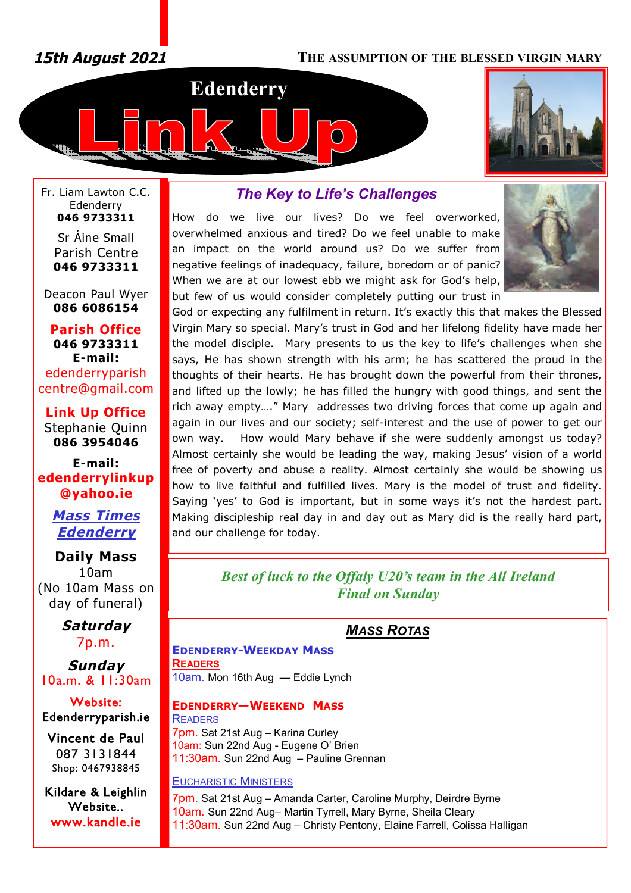# *15th August 2021* **THE ASSUMPTION OF THE BLESSED VIRGIN MARY**





Fr. Liam Lawton C.C. Edenderry **046 9733311**

> Sr Áine Small Parish Centre **046 9733311**

Deacon Paul Wyer **086 6086154**

**Parish Office 046 9733311 E-mail:** edenderryparish [centre@gmail.com](mailto:centre@gmail.com)

**Link Up Office** Stephanie Quinn **086 3954046**

**E-mail: edenderrylinkup [@yahoo.ie](mailto:@yahoo.ie)**

> *Mass Times Edenderry*

# **Daily Mass** 10am (No 10am Mass on day of funeral)

*Saturday* 7p.m.

*Sunday* 10a.m. & 11:30am

**Website: Edenderryparish.ie**

**Vincent de Paul**  087 3131844 Shop: 0467938845

**Kildare & Leighlin Website.. [www.kandle.ie](http://www.kandle.ie)** 

# *The Key to Life's Challenges*

How do we live our lives? Do we feel overworked, overwhelmed anxious and tired? Do we feel unable to make an impact on the world around us? Do we suffer from negative feelings of inadequacy, failure, boredom or of panic? When we are at our lowest ebb we might ask for God's help, but few of us would consider completely putting our trust in



God or expecting any fulfilment in return. It's exactly this that makes the Blessed Virgin Mary so special. Mary's trust in God and her lifelong fidelity have made her the model disciple. Mary presents to us the key to life's challenges when she says, He has shown strength with his arm; he has scattered the proud in the thoughts of their hearts. He has brought down the powerful from their thrones, and lifted up the lowly; he has filled the hungry with good things, and sent the rich away empty…." Mary addresses two driving forces that come up again and again in our lives and our society; self-interest and the use of power to get our own way. How would Mary behave if she were suddenly amongst us today? Almost certainly she would be leading the way, making Jesus' vision of a world free of poverty and abuse a reality. Almost certainly she would be showing us how to live faithful and fulfilled lives. Mary is the model of trust and fidelity. Saying 'yes' to God is important, but in some ways it's not the hardest part. Making discipleship real day in and day out as Mary did is the really hard part, and our challenge for today.

> *Best of luck to the Offaly U20's team in the All Ireland Final on Sunday*

# *MASS ROTAS*

**EDENDERRY-WEEKDAY MASS READERS**

10am. Mon 16th Aug — Eddie Lynch

#### **EDENDERRY—WEEKEND MASS READERS**

7pm. Sat 21st Aug – Karina Curley 10am: Sun 22nd Aug - Eugene O' Brien 11:30am. Sun 22nd Aug – Pauline Grennan

#### EUCHARISTIC MINISTERS

7pm. Sat 21st Aug – Amanda Carter, Caroline Murphy, Deirdre Byrne 10am. Sun 22nd Aug– Martin Tyrrell, Mary Byrne, Sheila Cleary 11:30am. Sun 22nd Aug – Christy Pentony, Elaine Farrell, Colissa Halligan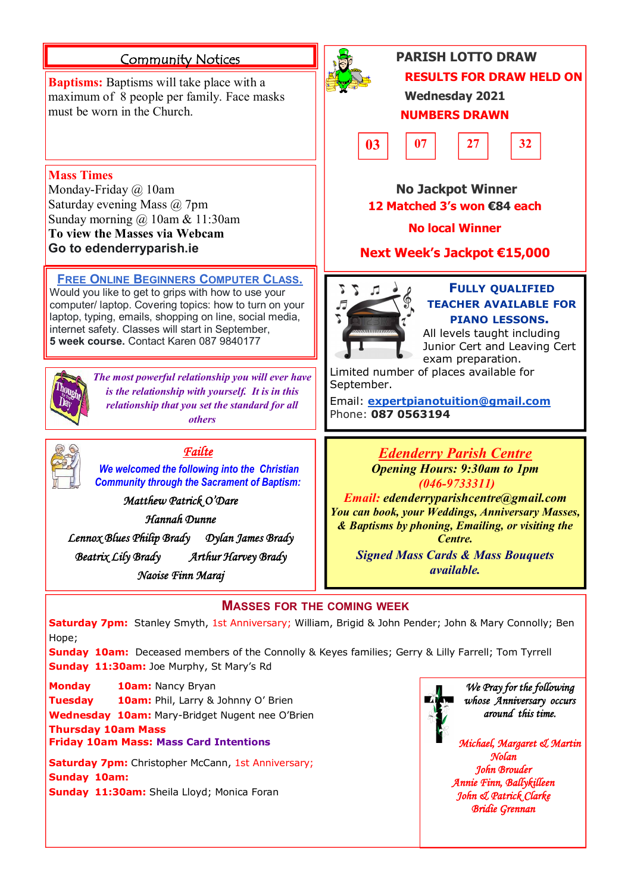# **Community Notices**

**Baptisms:** Baptisms will take place with a maximum of 8 people per family. Face masks must be worn in the Church.

**Mass Times**

Monday-Friday @ 10am

Saturday evening Mass @ 7pm

Sunday morning @ 10am & 11:30am **To view the Masses via Webcam Go to edenderryparish.ie**



# **PARISH LOTTO DRAW RESULTS FOR DRAW HELD ON**

**Wednesday 2021 NUMBERS DRAWN**



 **No Jackpot Winner 12 Matched 3's won €84 each**

# **No local Winner**

**Next Week's Jackpot €15,000**



# **FULLY QUALIFIED TEACHER AVAILABLE FOR PIANO LESSONS.**

All levels taught including Junior Cert and Leaving Cert exam preparation.

Limited number of places available for September.

Email: **[expertpianotuition@gmail.com](mailto:expertpianotuition@gmail.com)** Phone: **087 0563194**

> *Edenderry Parish Centre Opening Hours: 9:30am to 1pm (046-9733311)*

*Email: [edenderryparishcentre@gmail.com](mailto:edenderryparishcentre@gmail.com) You can book, your Weddings, Anniversary Masses, & Baptisms by phoning, Emailing, or visiting the Centre.* 

*Signed Mass Cards & Mass Bouquets available.*

## **MASSES FOR THE COMING WEEK**

**Saturday 7pm:** Stanley Smyth, 1st Anniversary; William, Brigid & John Pender; John & Mary Connolly; Ben Hope;

**Sunday 10am:** Deceased members of the Connolly & Keyes families; Gerry & Lilly Farrell; Tom Tyrrell **Sunday 11:30am:** Joe Murphy, St Mary's Rd

**Monday 10am:** Nancy Bryan

**Tuesday 10am:** Phil, Larry & Johnny O' Brien

**Wednesday 10am:** Mary-Bridget Nugent nee O'Brien **Thursday 10am Mass**

*Failte We welcomed the following into the Christian Community through the Sacrament of Baptism:*

*The most powerful relationship you will ever have is the relationship with yourself. It is in this relationship that you set the standard for all others*

**FREE ONLINE BEGINNERS COMPUTER CLASS.** Would you like to get to grips with how to use your computer/ laptop. Covering topics: how to turn on your laptop, typing, emails, shopping on line, social media, internet safety. Classes will start in September, **5 week course.** Contact Karen 087 9840177

*Matthew Patrick O'Dare Hannah Dunne Lennox Blues Philip Brady Dylan James Brady Beatrix Lily Brady Arthur Harvey Brady Naoise Finn Maraj* 

**Friday 10am Mass: Mass Card Intentions**

**Saturday 7pm:** Christopher McCann, 1st Anniversary; **Sunday 10am: Sunday 11:30am:** Sheila Lloyd; Monica Foran



*We Pray for the following whose Anniversary occurs around this time.* 

*Michael, Margaret & Martin Nolan John Brouder Annie Finn, Ballykilleen John & Patrick Clarke Bridie Grennan*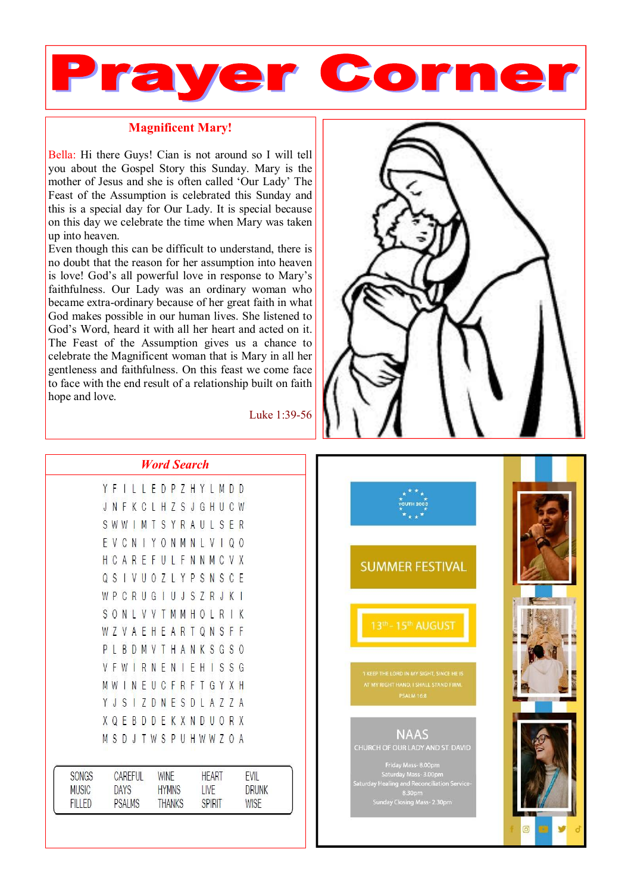

### **Magnificent Mary!**

Bella: Hi there Guys! Cian is not around so I will tell you about the Gospel Story this Sunday. Mary is the mother of Jesus and she is often called 'Our Lady' The Feast of the Assumption is celebrated this Sunday and this is a special day for Our Lady. It is special because on this day we celebrate the time when Mary was taken up into heaven.

Even though this can be difficult to understand, there is no doubt that the reason for her assumption into heaven is love! God's all powerful love in response to Mary's faithfulness. Our Lady was an ordinary woman who became extra-ordinary because of her great faith in what God makes possible in our human lives. She listened to God's Word, heard it with all her heart and acted on it. The Feast of the Assumption gives us a chance to celebrate the Magnificent woman that is Mary in all her gentleness and faithfulness. On this feast we come face to face with the end result of a relationship built on faith hope and love.

Luke 1:39-56



|                               | <b>Word Search</b>           |          |    |   |                                       |                               |    |    |    |                       |                |     |   |   |                             |
|-------------------------------|------------------------------|----------|----|---|---------------------------------------|-------------------------------|----|----|----|-----------------------|----------------|-----|---|---|-----------------------------|
|                               | Y                            | F        | I  | L | Г                                     | F                             | D  | P. | Z  |                       | HYL            |     | M | D | D                           |
|                               | J                            | N        | -F | K | C                                     | L                             | H  | Z  | S  | J                     | G              | Н   | U | C | W                           |
|                               | S                            | W W      |    | I | M                                     | Τ                             | S  | Y  | R  | A                     | U              | J.  | S | F | R                           |
|                               | E                            | V        | C  | N | $\begin{array}{c} \hline \end{array}$ | Y                             | 0  | N  | M  | N                     | Ł              | V   | I | Q | 0                           |
|                               | Н                            | C        | A  | R | F                                     | F                             | U  |    | LΕ | N                     | N              | M   | C | V | X                           |
|                               | Q                            | S        | I  | V | U                                     | 0                             | 7  | L. | Y  | P                     | S              | N   | S | C | Ε                           |
|                               | W                            | P        | C  | R | U                                     | G                             | 1  | U  | J  | S                     | $\overline{Z}$ | R   | J | K | $\mathbf{I}$                |
|                               | S                            | $\Omega$ | N  | L | V                                     | $\vee$                        | T  | M  | М  | Н                     | 0              | L   | R | I | K                           |
|                               | W                            | 7        | V  | A | Ε                                     | Н                             | Ε  | A  | R  | T                     | Q              | N   | S | F | F                           |
|                               | P                            | L        | B  | D | M                                     | V                             | Τ  | H  | A  | N                     | K              | S   | G | S | 0                           |
|                               | V                            | F        | W  | I | R                                     | N                             | F  | N  | I  | F                     | H              | I   | S | S | G                           |
|                               |                              | M W      | I  | N | E                                     | U                             | C  | F  | R  | F                     | T              | G   | Y | X | $\mathsf{H}$                |
|                               | Y                            | J        | S  | I | Z                                     | D                             | N  | Ε  | S  | D                     | L              | A   | Z | 7 | $\overline{A}$              |
|                               | X                            | Q        | Ε  | B | D                                     | D                             | F. | K  | X  | N                     | D              | U   | 0 | R | X                           |
|                               | M                            | S        | D  | J | T                                     | W                             | S  | P  | U  | Н                     |                | W W | Z | 0 | A                           |
| <b>SONGS</b>                  | <b>CAREFUL</b>               |          |    |   |                                       | <b>WINE</b>                   |    |    |    | <b>HEART</b>          |                |     |   |   | <b>EVIL</b>                 |
| <b>MUSIC</b><br><b>FILLED</b> | <b>DAYS</b><br><b>PSALMS</b> |          |    |   |                                       | <b>HYMNS</b><br><b>THANKS</b> |    |    |    | LIVE<br><b>SPIRIT</b> |                |     |   |   | <b>DRUNK</b><br><b>WISE</b> |

**SUMMER FESTIVAL** 13th - 15th AUGUST

**PSALM 16:8** 

# **NAAS**

saturɑay Mass- 3.00pm<br>Sealing and Reconciliatio o.sopm<br>Sunday Closing Mass- 2.30pm